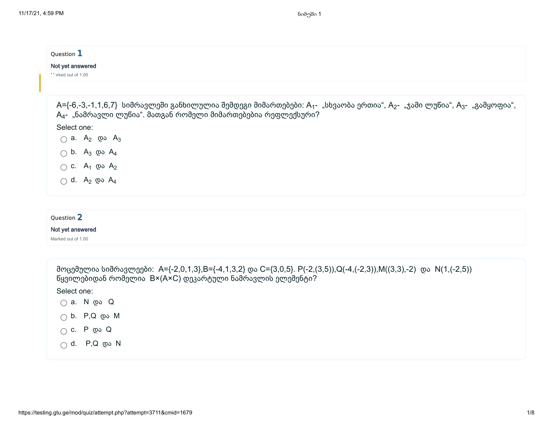| Question 1                                                                                                                                                                                                                      |
|---------------------------------------------------------------------------------------------------------------------------------------------------------------------------------------------------------------------------------|
| Not yet answered<br>** arked out of 1.00                                                                                                                                                                                        |
|                                                                                                                                                                                                                                 |
| A={-6,-3,-1,1,6,7} სიმრავლეში განხილულია შემდეგი მიმართებები: A <sub>1</sub> - "სხვაობა ერთია", A <sub>2</sub> - "ჯამი ლუწია", A <sub>3</sub> - "გამყოფია",<br>$A_4$ - "ნამრავლი ლუწია". მათგან რომელი მიმართებებია რეფლექსური? |
| Select one:                                                                                                                                                                                                                     |
| $\bigcirc$ a. $A_2$ $\emptyset$ $\circ$ $A_3$                                                                                                                                                                                   |
| $\bigcirc$ b. A <sub>3</sub> $\emptyset$ A <sub>4</sub>                                                                                                                                                                         |
| $\bigcirc$ c. $A_1$ $\emptyset$ a $A_2$                                                                                                                                                                                         |
| $\bigcirc$ d. $A_2$ $\omega$ $A_4$                                                                                                                                                                                              |
|                                                                                                                                                                                                                                 |
| Question 2                                                                                                                                                                                                                      |
| Not yet answered                                                                                                                                                                                                                |
| Marked out of 1.00                                                                                                                                                                                                              |

| მოცემულია სიმრავლეები: A={-2,0,1,3},B={-4,1,3,2} და C={3,0,5}. P(-2,(3,5)),Q(-4,(-2,3)),M((3,3),-2) და N(1,(-2,5))<br>წყვილებიდან რომელია B×(A×C) დეკარტული ნამრავლის ელემენტი? |
|---------------------------------------------------------------------------------------------------------------------------------------------------------------------------------|
| Select one:                                                                                                                                                                     |
| ⊜ a. N രാ Q                                                                                                                                                                     |
| $\bigcap$ b. P,Q $\emptyset$ M                                                                                                                                                  |
| $\bigcap$ C. P $\emptyset$ Q                                                                                                                                                    |
| $\bigcap$ d. P,Q და N                                                                                                                                                           |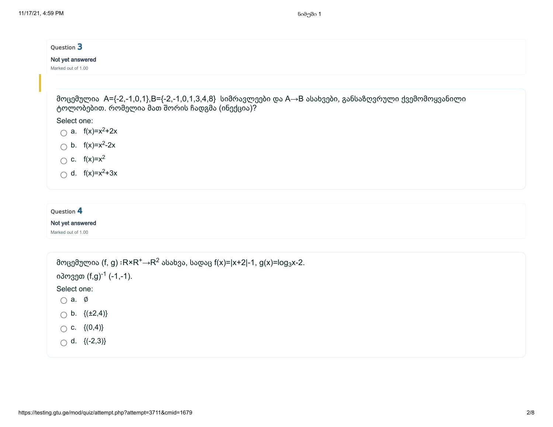| Question 3<br>Not yet answered<br>Marked out of 1.00                                                                                                                                                                                                                                                                          |
|-------------------------------------------------------------------------------------------------------------------------------------------------------------------------------------------------------------------------------------------------------------------------------------------------------------------------------|
| მოცემულია A={-2,-1,0,1},B={-2,-1,0,1,3,4,8} სიმრავლეები და A→B ასახვები, განსაზღვრული ქვემომოყვანილი<br>ტოლობებით. რომელია მათ შორის ჩადგმა (ინექცია)?<br>Select one:<br>a. $f(x)=x^2+2x$<br>$\bigcap$<br>$\bigcirc$ b. f(x)=x <sup>2</sup> -2x<br>$\bigcirc$ c. f(x)=x <sup>2</sup><br>$\bigcirc$ d. f(x)=x <sup>2</sup> +3x |
| Question 4<br>Not yet answered<br>Marked out of 1.00                                                                                                                                                                                                                                                                          |

| მოცემულია (f, g) :R×R <sup>+</sup> →R <sup>∠</sup> ასახვა, სადაც f(x)= x+2 -1, g(x)=log <sub>3</sub> x-2. |  |  |  |  |
|-----------------------------------------------------------------------------------------------------------|--|--|--|--|
| იპოვეთ (f,g) <sup>-1</sup> (-1,-1).                                                                       |  |  |  |  |
| Select one:                                                                                               |  |  |  |  |
| $\bigcap$ a. $\emptyset$                                                                                  |  |  |  |  |
| $\bigcirc$ b. $\{(\pm 2, 4)\}$                                                                            |  |  |  |  |
| $\bigcap$ C. $\{(0,4)\}\$                                                                                 |  |  |  |  |
| $\bigcap$ d. {(-2,3)}                                                                                     |  |  |  |  |
|                                                                                                           |  |  |  |  |

 $\cdot$   $\cdot$   $\cdot$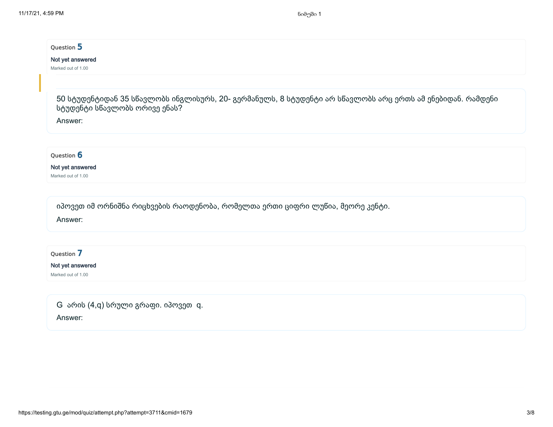#### Not yet answered

Marked out of 1.00

50 სტუდენტიდან 35 სწავლობს ინგლისურს, 20- გერმანულს, 8 სტუდენტი არ სწავლობს არც ერთს ამ ენებიდან. რამდენი სტუდენტი სწავლობს ორივე ენას?

Answer:

#### Ouestion 6

#### Not yet answered

Marked out of 1.00

იპოვეთ იმ ორნიშნა რიცხვების რაოდენობა, რომელთა ერთი ციფრი ლუწია, მეორე კენტი.

Answer:

Question 7

#### Not yet answered

Marked out of 1.00

| G არის (4,q) სრული გრაფი. იპოვეთ q. |  |
|-------------------------------------|--|
| Answer:                             |  |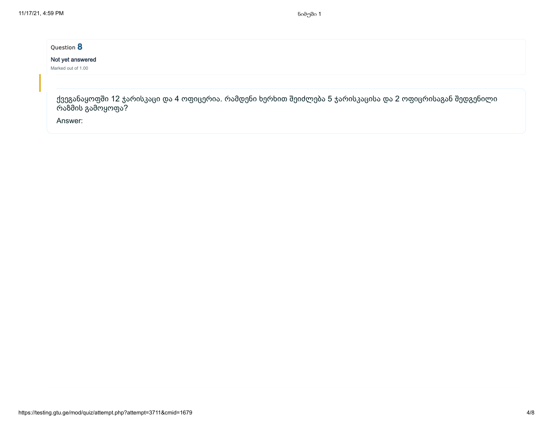#### Not yet answered

Marked out of 1.00

ქვეგანაყოფში 12 ჯარისკაცი და 4 ოფიცერია. რამდენი ხერხით შეიძლება 5 ჯარისკაცისა და 2 ოფიცრისაგან შედგენილი რაზმის გამოყოფა?

Answer: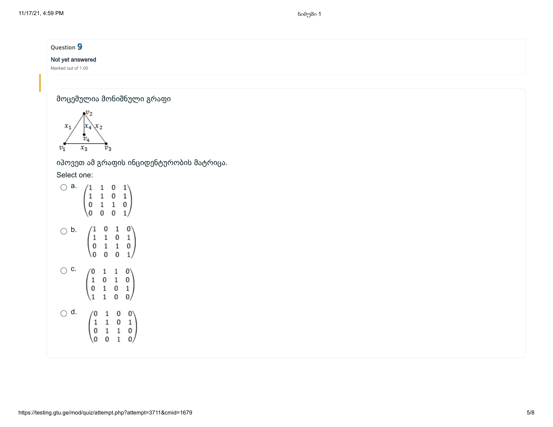#### Not yet answered

Marked out of 1.00

მოცემულია მონიშნული გრაფი



იპოვეთ ამ გრაფის ინციდენტურობის მატრიცა.

Select one:

| a. | 1<br>0<br>0                                         | $\begin{array}{c} 1\\ 1\\ 1\\ 0 \end{array}$    | 0<br>0<br>1<br>0                                | 1<br>1<br>0<br>1,                                       |
|----|-----------------------------------------------------|-------------------------------------------------|-------------------------------------------------|---------------------------------------------------------|
| b. | ′1<br>0<br>0                                        | $\begin{array}{c} 0 \\ 1 \\ 1 \\ 0 \end{array}$ | $\begin{smallmatrix}1\0\1\0\end{smallmatrix}$   | $\begin{bmatrix} 0 & 1 \\ 1 & 0 \\ 1 & 0 \end{bmatrix}$ |
| с. | 0<br>1<br>0                                         |                                                 | $\begin{array}{c} 1 \\ 1 \\ 0 \\ 0 \end{array}$ | 0'0<br>0 1<br>0                                         |
| d. | $\begin{matrix}0\1\0\end{matrix}$<br>$\overline{0}$ | 1 1 1 0                                         | 0 0 1 1                                         | $\begin{bmatrix} 0 \\ 1 \\ 0 \\ 0 \end{bmatrix}$        |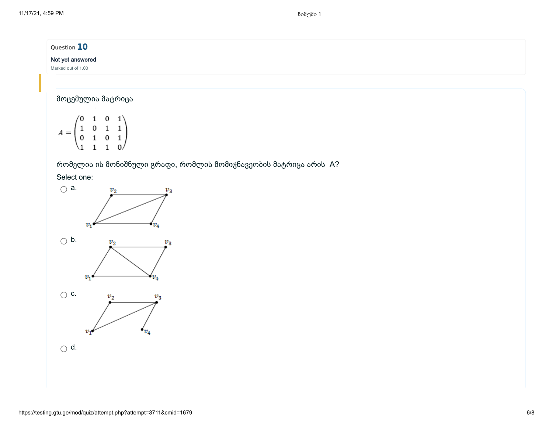### Not yet answered

Marked out of 1.00

# მოცემულია მატრიცა

 $A = \begin{pmatrix} 0 & 1 & 0 & 1 \\ 1 & 0 & 1 & 1 \\ 0 & 1 & 0 & 1 \\ 1 & 1 & 1 & 0 \end{pmatrix}$ 

# რომელია ის მონიშნული გრაფი, რომლის მომიჯნავეობის მატრიცა არის A?

## Select one:

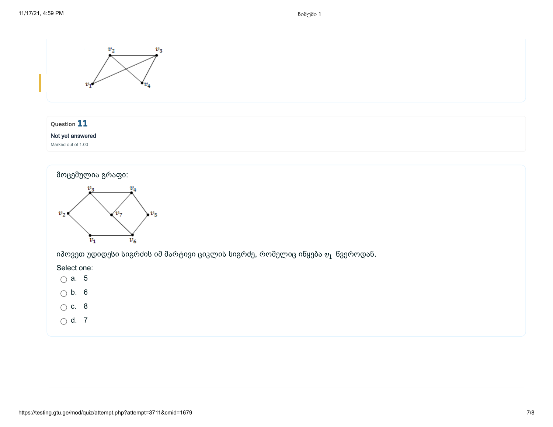

 $\bigcirc$  d. 7